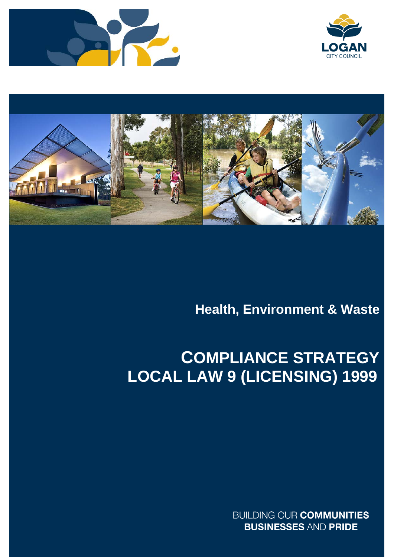





## **Health, Environment & Waste**

# **COMPLIANCE STRATEGY LOCAL LAW 9 (LICENSING) 1999**

**BUILDING OUR COMMUNITIES BUSINESSES AND PRIDE**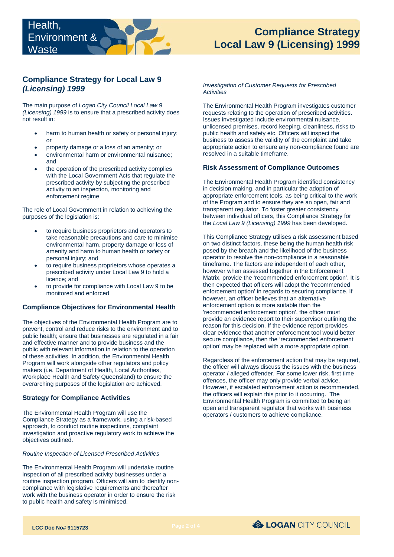## **Compliance Strategy for Local Law 9**  *(Licensing) 1999*

The main purpose of *Logan City Council Local Law 9 (Licensing) 1999* is to ensure that a prescribed activity does not result in:

- harm to human health or safety or personal injury; or
- property damage or a loss of an amenity; or
- environmental harm or environmental nuisance; and
- • the operation of the prescribed activity complies with the Local Government Acts that regulate the prescribed activity by subjecting the prescribed activity to an inspection, monitoring and enforcement regime

The role of Local Government in relation to achieving the purposes of the legislation is:

- environmental harm, property damage or loss of to require business proprietors and operators to take reasonable precautions and care to minimise amenity and harm to human health or safety or personal injury; and
- to require business proprietors whose operates a prescribed activity under Local Law 9 to hold a licence; and
- to provide for compliance with Local Law 9 to be monitored and enforced

#### **Compliance Objectives for Environmental Health**

 Program will work alongside other regulators and policy The objectives of the Environmental Health Program are to prevent, control and reduce risks to the environment and to public health; ensure that businesses are regulated in a fair and effective manner and to provide business and the public with relevant information in relation to the operation of these activities. In addition, the Environmental Health makers (i.e. Department of Health, Local Authorities, Workplace Health and Safety Queensland) to ensure the overarching purposes of the legislation are achieved.

#### **Strategy for Compliance Activities**

The Environmental Health Program will use the Compliance Strategy as a framework, using a risk-based approach, to conduct routine inspections, complaint investigation and proactive regulatory work to achieve the objectives outlined.

#### *Routine Inspection of Licensed Prescribed Activities*

The Environmental Health Program will undertake routine inspection of all prescribed activity businesses under a routine inspection program. Officers will aim to identify noncompliance with legislative requirements and thereafter work with the business operator in order to ensure the risk to public health and safety is minimised.

*Investigation of Customer Requests for Prescribed Activities* 

 The Environmental Health Program investigates customer requests relating to the operation of prescribed activities. Issues investigated include environmental nuisance, unlicensed premises, record keeping, cleanliness, risks to public health and safety etc. Officers will inspect the business to assess the validity of the complaint and take appropriate action to ensure any non-compliance found are resolved in a suitable timeframe.

## **Risk Assessment of Compliance Outcomes**

 appropriate enforcement tools, as being critical to the work The Environmental Health Program identified consistency in decision making, and in particular the adoption of of the Program and to ensure they are an open, fair and transparent regulator. To foster greater consistency between individual officers, this Compliance Strategy for the *Local Law 9 (Licensing) 1999* has been developed.

 This Compliance Strategy utilises a risk assessment based posed by the breach and the likelihood of the business enforcement option' in regards to securing compliance. If provide an evidence report to their supervisor outlining the on two distinct factors, these being the human health risk operator to resolve the non-compliance in a reasonable timeframe. The factors are independent of each other, however when assessed together in the Enforcement Matrix, provide the 'recommended enforcement option'. It is then expected that officers will adopt the 'recommended however, an officer believes that an alternative enforcement option is more suitable than the 'recommended enforcement option', the officer must reason for this decision. If the evidence report provides clear evidence that another enforcement tool would better secure compliance, then the 'recommended enforcement option' may be replaced with a more appropriate option.

Regardless of the enforcement action that may be required, the officer will always discuss the issues with the business operator / alleged offender. For some lower risk, first time offences, the officer may only provide verbal advice. However, if escalated enforcement action is recommended, the officers will explain this prior to it occurring. The Environmental Health Program is committed to being an open and transparent regulator that works with business operators / customers to achieve compliance.

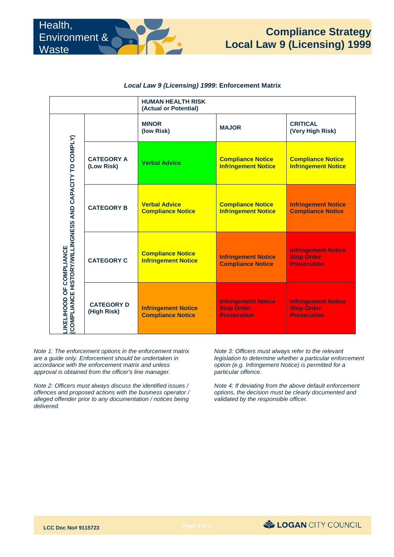|                                                                                     |                                  | <b>HUMAN HEALTH RISK</b><br>(Actual or Potential)      |                                                                       |                                                                       |
|-------------------------------------------------------------------------------------|----------------------------------|--------------------------------------------------------|-----------------------------------------------------------------------|-----------------------------------------------------------------------|
| LIKELIHOOD OF COMPLIANCE<br>(COMPLIANCE HISTORY/WILLINGNESS AND CAPACITY TO COMPLY) |                                  | <b>MINOR</b><br>(low Risk)                             | <b>MAJOR</b>                                                          | <b>CRITICAL</b><br>(Very High Risk)                                   |
|                                                                                     | <b>CATEGORY A</b><br>(Low Risk)  | <b>Verbal Advice</b>                                   | <b>Compliance Notice</b><br><b>Infringement Notice</b>                | <b>Compliance Notice</b><br><b>Infringement Notice</b>                |
|                                                                                     | <b>CATEGORY B</b>                | <b>Verbal Advice</b><br><b>Compliance Notice</b>       | <b>Compliance Notice</b><br><b>Infringement Notice</b>                | <b>Infringement Notice</b><br><b>Compliance Notice</b>                |
|                                                                                     | <b>CATEGORY C</b>                | <b>Compliance Notice</b><br><b>Infringement Notice</b> | <b>Infringement Notice</b><br><b>Compliance Notice</b>                | <b>Infringement Notice</b><br><b>Stop Order</b><br><b>Prosecution</b> |
|                                                                                     | <b>CATEGORY D</b><br>(High Risk) | <b>Infringement Notice</b><br><b>Compliance Notice</b> | <b>Infringement Notice</b><br><b>Stop Order</b><br><b>Prosecution</b> | <b>Infringement Notice</b><br><b>Stop Order</b><br><b>Prosecution</b> |

#### *Local Law 9 (Licensing) 1999***: Enforcement Matrix**

*Note 1: The enforcement options in the enforcement matrix are a guide only. Enforcement should be undertaken in accordance with the enforcement matrix and unless approval is obtained from the officer's line manager.* 

*Note 2: Officers must always discuss the identified issues / offences and proposed actions with the business operator / alleged offender prior to any documentation / notices being delivered.* 

particular offence. *Note 3: Officers must always refer to the relevant legislation to determine whether a particular enforcement option (e.g. Infringement Notice) is permitted for a* 

 *validated by the responsible officer. Note 4: If deviating from the above default enforcement options, the decision must be clearly documented and*